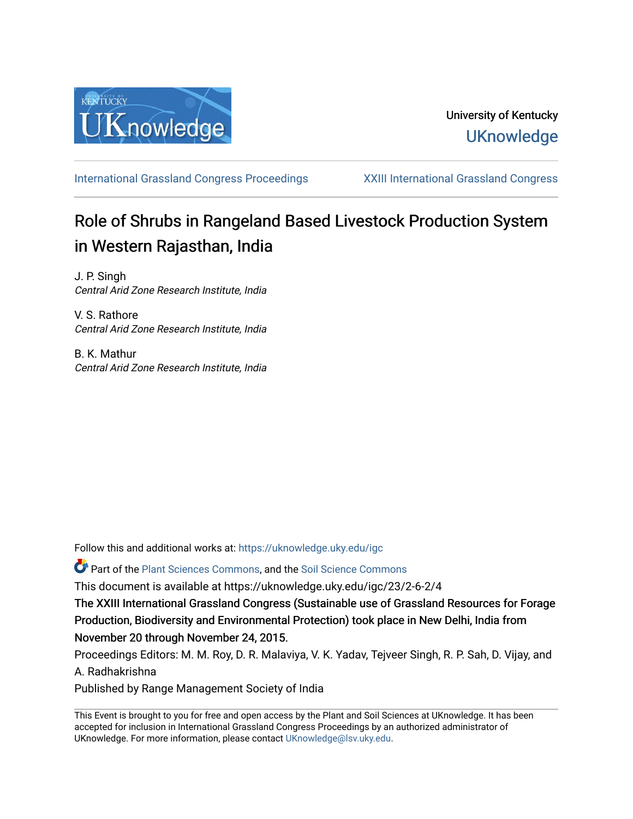

[International Grassland Congress Proceedings](https://uknowledge.uky.edu/igc) [XXIII International Grassland Congress](https://uknowledge.uky.edu/igc/23) 

# Role of Shrubs in Rangeland Based Livestock Production System in Western Rajasthan, India

J. P. Singh Central Arid Zone Research Institute, India

V. S. Rathore Central Arid Zone Research Institute, India

B. K. Mathur Central Arid Zone Research Institute, India

Follow this and additional works at: [https://uknowledge.uky.edu/igc](https://uknowledge.uky.edu/igc?utm_source=uknowledge.uky.edu%2Figc%2F23%2F2-6-2%2F4&utm_medium=PDF&utm_campaign=PDFCoverPages) 

Part of the [Plant Sciences Commons](http://network.bepress.com/hgg/discipline/102?utm_source=uknowledge.uky.edu%2Figc%2F23%2F2-6-2%2F4&utm_medium=PDF&utm_campaign=PDFCoverPages), and the [Soil Science Commons](http://network.bepress.com/hgg/discipline/163?utm_source=uknowledge.uky.edu%2Figc%2F23%2F2-6-2%2F4&utm_medium=PDF&utm_campaign=PDFCoverPages) 

This document is available at https://uknowledge.uky.edu/igc/23/2-6-2/4

The XXIII International Grassland Congress (Sustainable use of Grassland Resources for Forage Production, Biodiversity and Environmental Protection) took place in New Delhi, India from November 20 through November 24, 2015.

Proceedings Editors: M. M. Roy, D. R. Malaviya, V. K. Yadav, Tejveer Singh, R. P. Sah, D. Vijay, and A. Radhakrishna

Published by Range Management Society of India

This Event is brought to you for free and open access by the Plant and Soil Sciences at UKnowledge. It has been accepted for inclusion in International Grassland Congress Proceedings by an authorized administrator of UKnowledge. For more information, please contact [UKnowledge@lsv.uky.edu](mailto:UKnowledge@lsv.uky.edu).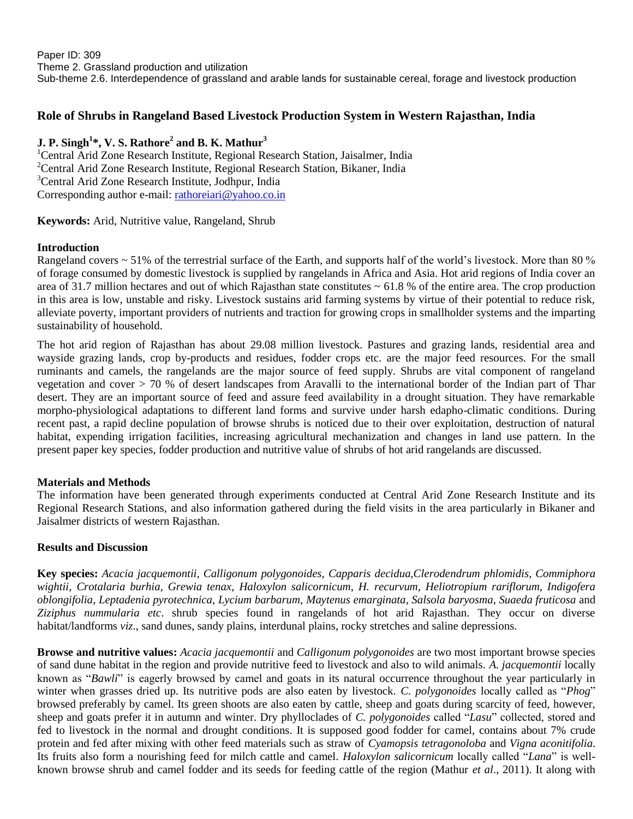Paper ID: 309 Theme 2. Grassland production and utilization Sub-theme 2.6. Interdependence of grassland and arable lands for sustainable cereal, forage and livestock production

# **Role of Shrubs in Rangeland Based Livestock Production System in Western Rajasthan, India**

# **J. P. Singh<sup>1</sup> \*, V. S. Rathore<sup>2</sup> and B. K. Mathur<sup>3</sup>**

<sup>1</sup>Central Arid Zone Research Institute, Regional Research Station, Jaisalmer, India <sup>2</sup>Central Arid Zone Research Institute, Regional Research Station, Bikaner, India <sup>3</sup>Central Arid Zone Research Institute, Jodhpur, India Corresponding author e-mail: [rathoreiari@yahoo.co.in](mailto:rathoreiari@yahoo.co.in)

**Keywords:** Arid, Nutritive value, Rangeland, Shrub

## **Introduction**

Rangeland covers ~ 51% of the terrestrial surface of the Earth, and supports half of the world"s livestock. More than 80 % of forage consumed by domestic livestock is supplied by rangelands in Africa and Asia. Hot arid regions of India cover an area of 31.7 million hectares and out of which Rajasthan state constitutes  $\sim 61.8$  % of the entire area. The crop production in this area is low, unstable and risky. Livestock sustains arid farming systems by virtue of their potential to reduce risk, alleviate poverty, important providers of nutrients and traction for growing crops in smallholder systems and the imparting sustainability of household.

The hot arid region of Rajasthan has about 29.08 million livestock. Pastures and grazing lands, residential area and wayside grazing lands, crop by-products and residues, fodder crops etc. are the major feed resources. For the small ruminants and camels, the rangelands are the major source of feed supply. Shrubs are vital component of rangeland vegetation and cover > 70 % of desert landscapes from Aravalli to the international border of the Indian part of Thar desert. They are an important source of feed and assure feed availability in a drought situation. They have remarkable morpho-physiological adaptations to different land forms and survive under harsh edapho-climatic conditions. During recent past, a rapid decline population of browse shrubs is noticed due to their over exploitation, destruction of natural habitat, expending irrigation facilities, increasing agricultural mechanization and changes in land use pattern. In the present paper key species, fodder production and nutritive value of shrubs of hot arid rangelands are discussed.

#### **Materials and Methods**

The information have been generated through experiments conducted at Central Arid Zone Research Institute and its Regional Research Stations, and also information gathered during the field visits in the area particularly in Bikaner and Jaisalmer districts of western Rajasthan.

## **Results and Discussion**

**Key species:** *Acacia jacquemontii, Calligonum polygonoides, Capparis decidua,Clerodendrum phlomidis*, *Commiphora wightii*, *Crotalaria burhia*, *Grewia tenax*, *Haloxylon salicornicum*, *H. recurvum*, *Heliotropium rariflorum, Indigofera oblongifolia*, *Leptadenia pyrotechnica*, *Lycium barbarum*, *Maytenus emarginata*, *Salsola baryosma*, *Suaeda fruticosa* and *Ziziphus nummularia etc*. shrub species found in rangelands of hot arid Rajasthan. They occur on diverse habitat/landforms *viz*., sand dunes, sandy plains, interdunal plains, rocky stretches and saline depressions.

**Browse and nutritive values:** *Acacia jacquemontii* and *Calligonum polygonoides* are two most important browse species of sand dune habitat in the region and provide nutritive feed to livestock and also to wild animals. *A. jacquemontii* locally known as "*Bawli*" is eagerly browsed by camel and goats in its natural occurrence throughout the year particularly in winter when grasses dried up. Its nutritive pods are also eaten by livestock. *C. polygonoides* locally called as "*Phog*" browsed preferably by camel. Its green shoots are also eaten by cattle, sheep and goats during scarcity of feed, however, sheep and goats prefer it in autumn and winter. Dry phylloclades of *C. polygonoides* called "*Lasu*" collected, stored and fed to livestock in the normal and drought conditions. It is supposed good fodder for camel, contains about 7% crude protein and fed after mixing with other feed materials such as straw of *Cyamopsis tetragonoloba* and *Vigna aconitifolia*. Its fruits also form a nourishing feed for milch cattle and camel. *Haloxylon salicornicum* locally called "*Lana*" is wellknown browse shrub and camel fodder and its seeds for feeding cattle of the region (Mathur *et al*., 2011). It along with